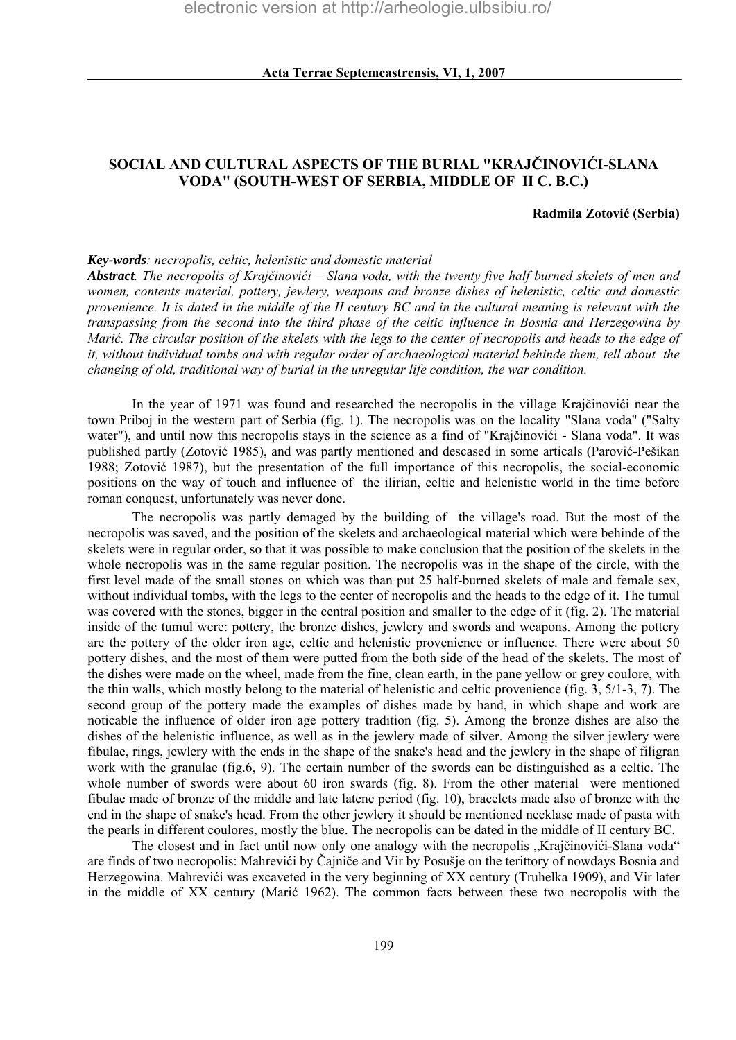# **SOCIAL AND CULTURAL ASPECTS OF THE BURIAL "KRAJČINOVIĆI-SLANA VODA" (SOUTH-WEST OF SERBIA, MIDDLE OF II C. B.C.)**

#### **Radmila Zotović (Serbia)**

#### *Key-words: necropolis, celtic, helenistic and domestic material*

*Abstract. The necropolis of Krajčinovići – Slana voda, with the twenty five half burned skelets of men and women, contents material, pottery, jewlery, weapons and bronze dishes of helenistic, celtic and domestic provenience. It is dated in the middle of the II century BC and in the cultural meaning is relevant with the transpassing from the second into the third phase of the celtic influence in Bosnia and Herzegowina by Marić. The circular position of the skelets with the legs to the center of necropolis and heads to the edge of it, without individual tombs and with regular order of archaeological material behinde them, tell about the changing of old, traditional way of burial in the unregular life condition, the war condition.* 

 In the year of 1971 was found and researched the necropolis in the village Krajčinovići near the town Priboj in the western part of Serbia (fig. 1). The necropolis was on the locality "Slana voda" ("Salty water"), and until now this necropolis stays in the science as a find of "Krajčinovići - Slana voda". It was published partly (Zotović 1985), and was partly mentioned and descased in some articals (Parović-Pešikan 1988; Zotović 1987), but the presentation of the full importance of this necropolis, the social-economic positions on the way of touch and influence of the ilirian, celtic and helenistic world in the time before roman conquest, unfortunately was never done.

 The necropolis was partly demaged by the building of the village's road. But the most of the necropolis was saved, and the position of the skelets and archaeological material which were behinde of the skelets were in regular order, so that it was possible to make conclusion that the position of the skelets in the whole necropolis was in the same regular position. The necropolis was in the shape of the circle, with the first level made of the small stones on which was than put 25 half-burned skelets of male and female sex, without individual tombs, with the legs to the center of necropolis and the heads to the edge of it. The tumul was covered with the stones, bigger in the central position and smaller to the edge of it (fig. 2). The material inside of the tumul were: pottery, the bronze dishes, jewlery and swords and weapons. Among the pottery are the pottery of the older iron age, celtic and helenistic provenience or influence. There were about 50 pottery dishes, and the most of them were putted from the both side of the head of the skelets. The most of the dishes were made on the wheel, made from the fine, clean earth, in the pane yellow or grey coulore, with the thin walls, which mostly belong to the material of helenistic and celtic provenience (fig. 3, 5/1-3, 7). The second group of the pottery made the examples of dishes made by hand, in which shape and work are noticable the influence of older iron age pottery tradition (fig. 5). Among the bronze dishes are also the dishes of the helenistic influence, as well as in the jewlery made of silver. Among the silver jewlery were fibulae, rings, jewlery with the ends in the shape of the snake's head and the jewlery in the shape of filigran work with the granulae (fig.6, 9). The certain number of the swords can be distinguished as a celtic. The whole number of swords were about 60 iron swards (fig. 8). From the other material were mentioned fibulae made of bronze of the middle and late latene period (fig. 10), bracelets made also of bronze with the end in the shape of snake's head. From the other jewlery it should be mentioned necklase made of pasta with the pearls in different coulores, mostly the blue. The necropolis can be dated in the middle of II century BC.

The closest and in fact until now only one analogy with the necropolis "Krajčinovići-Slana voda" are finds of two necropolis: Mahrevići by Čajniče and Vir by Posušje on the terittory of nowdays Bosnia and Herzegowina. Mahrevići was excaveted in the very beginning of XX century (Truhelka 1909), and Vir later in the middle of XX century (Marić 1962). The common facts between these two necropolis with the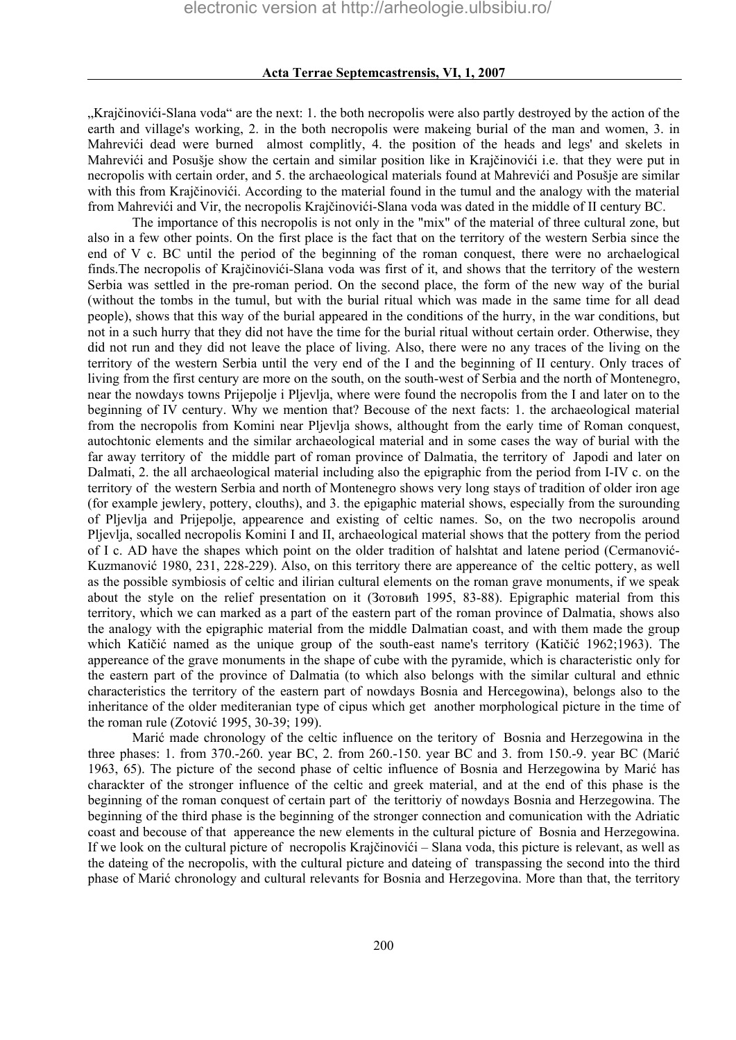"Krajčinovići-Slana voda" are the next: 1. the both necropolis were also partly destroyed by the action of the earth and village's working, 2. in the both necropolis were makeing burial of the man and women, 3. in Mahrevići dead were burned almost complitly, 4. the position of the heads and legs' and skelets in Mahrevići and Posušje show the certain and similar position like in Krajčinovići i.e. that they were put in necropolis with certain order, and 5. the archaeological materials found at Mahrevići and Posušje are similar with this from Krajčinovići. According to the material found in the tumul and the analogy with the material from Mahrevići and Vir, the necropolis Krajčinovići-Slana voda was dated in the middle of II century BC.

 The importance of this necropolis is not only in the "mix" of the material of three cultural zone, but also in a few other points. On the first place is the fact that on the territory of the western Serbia since the end of V c. BC until the period of the beginning of the roman conquest, there were no archaelogical finds.The necropolis of Krajčinovići-Slana voda was first of it, and shows that the territory of the western Serbia was settled in the pre-roman period. On the second place, the form of the new way of the burial (without the tombs in the tumul, but with the burial ritual which was made in the same time for all dead people), shows that this way of the burial appeared in the conditions of the hurry, in the war conditions, but not in a such hurry that they did not have the time for the burial ritual without certain order. Otherwise, they did not run and they did not leave the place of living. Also, there were no any traces of the living on the territory of the western Serbia until the very end of the I and the beginning of II century. Only traces of living from the first century are more on the south, on the south-west of Serbia and the north of Montenegro, near the nowdays towns Prijepolje i Pljevlja, where were found the necropolis from the I and later on to the beginning of IV century. Why we mention that? Becouse of the next facts: 1. the archaeological material from the necropolis from Komini near Pljevlja shows, althought from the early time of Roman conquest, autochtonic elements and the similar archaeological material and in some cases the way of burial with the far away territory of the middle part of roman province of Dalmatia, the territory of Japodi and later on Dalmati, 2. the all archaeological material including also the epigraphic from the period from I-IV c. on the territory of the western Serbia and north of Montenegro shows very long stays of tradition of older iron age (for example jewlery, pottery, clouths), and 3. the epigaphic material shows, especially from the surounding of Pljevlja and Prijepolje, appearence and existing of celtic names. So, on the two necropolis around Pljevlja, socalled necropolis Komini I and II, archaeological material shows that the pottery from the period of I c. AD have the shapes which point on the older tradition of halshtat and latene period (Cermanović-Kuzmanović 1980, 231, 228-229). Also, on this territory there are appereance of the celtic pottery, as well as the possible symbiosis of celtic and ilirian cultural elements on the roman grave monuments, if we speak about the style on the relief presentation on it (Зотовић 1995, 83-88). Epigraphic material from this territory, which we can marked as a part of the eastern part of the roman province of Dalmatia, shows also the analogy with the epigraphic material from the middle Dalmatian coast, and with them made the group which Katičić named as the unique group of the south-east name's territory (Katičić 1962;1963). The appereance of the grave monuments in the shape of cube with the pyramide, which is characteristic only for the eastern part of the province of Dalmatia (to which also belongs with the similar cultural and ethnic characteristics the territory of the eastern part of nowdays Bosnia and Hercegowina), belongs also to the inheritance of the older mediteranian type of cipus which get another morphological picture in the time of the roman rule (Zotović 1995, 30-39; 199).

 Marić made chronology of the celtic influence on the teritory of Bosnia and Herzegowina in the three phases: 1. from 370.-260. year BC, 2. from 260.-150. year BC and 3. from 150.-9. year BC (Marić 1963, 65). The picture of the second phase of celtic influence of Bosnia and Herzegowina by Marić has charackter of the stronger influence of the celtic and greek material, and at the end of this phase is the beginning of the roman conquest of certain part of the terittoriy of nowdays Bosnia and Herzegowina. The beginning of the third phase is the beginning of the stronger connection and comunication with the Adriatic coast and becouse of that appereance the new elements in the cultural picture of Bosnia and Herzegowina. If we look on the cultural picture of necropolis Krajčinovići – Slana voda, this picture is relevant, as well as the dateing of the necropolis, with the cultural picture and dateing of transpassing the second into the third phase of Marić chronology and cultural relevants for Bosnia and Herzegovina. More than that, the territory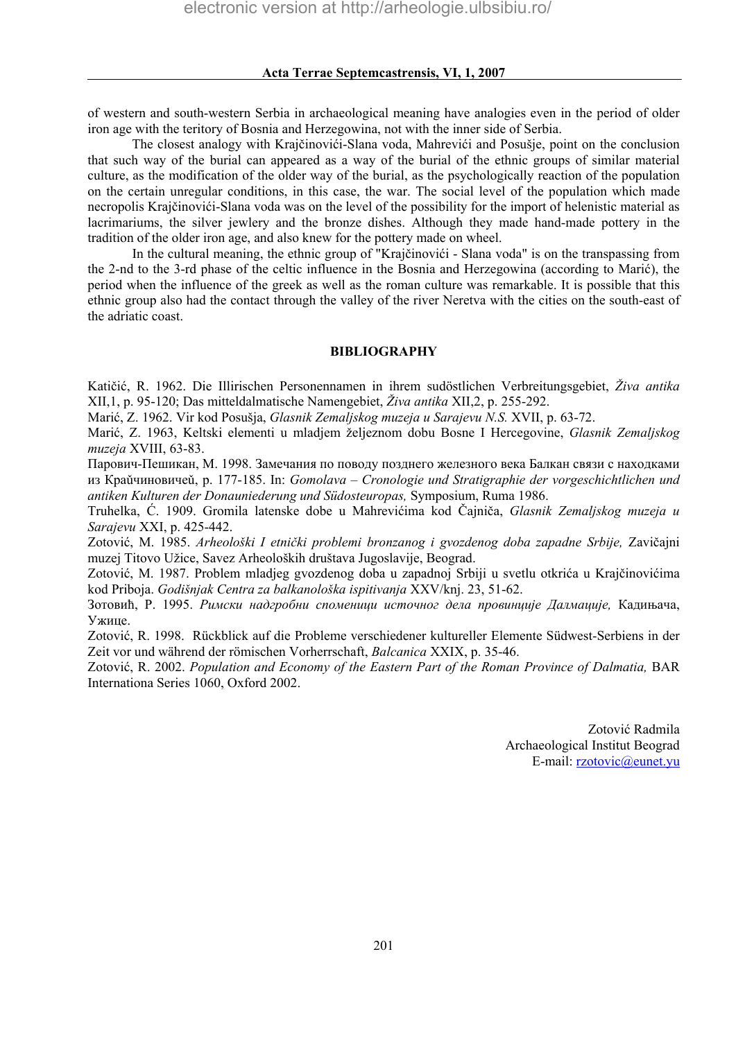of western and south-western Serbia in archaeological meaning have analogies even in the period of older iron age with the teritory of Bosnia and Herzegowina, not with the inner side of Serbia.

The closest analogy with Krajčinovići-Slana voda, Mahrevići and Posušje, point on the conclusion that such way of the burial can appeared as a way of the burial of the ethnic groups of similar material culture, as the modification of the older way of the burial, as the psychologically reaction of the population on the certain unregular conditions, in this case, the war. The social level of the population which made necropolis Krajčinovići-Slana voda was on the level of the possibility for the import of helenistic material as lacrimariums, the silver jewlery and the bronze dishes. Although they made hand-made pottery in the tradition of the older iron age, and also knew for the pottery made on wheel.

 In the cultural meaning, the ethnic group of "Krajčinovići - Slana voda" is on the transpassing from the 2-nd to the 3-rd phase of the celtic influence in the Bosnia and Herzegowina (according to Marić), the period when the influence of the greek as well as the roman culture was remarkable. It is possible that this ethnic group also had the contact through the valley of the river Neretva with the cities on the south-east of the adriatic coast.

## **BIBLIOGRAPHY**

Katičić, R. 1962. Die Illirischen Personennamen in ihrem sudöstlichen Verbreitungsgebiet, *Živa antika*  XII,1, p. 95-120; Das mitteldalmatische Namengebiet, *Živa antika* XII,2, p. 255-292.

Marić, Z. 1962. Vir kod Posušja, *Glasnik Zemaljskog muzeja u Sarajevu N.S.* XVII, p. 63-72.

Marić, Z. 1963, Keltski elementi u mladjem željeznom dobu Bosne I Hercegovine, *Glasnik Zemaljskog muzeja* XVIII, 63-83.

Парович-Пешикан, М. 1998. Замечания по поводу позднего железного века Балкан связи с находками из Краǔчиновичеǔ, p. 177-185. In: *Gomolava – Cronologie und Stratigraphie der vorgeschichtlichen und antiken Kulturen der Donauniederung und Südosteuropas,* Symposium, Ruma 1986.

Truhelka, Ć. 1909. Gromila latenske dobe u Mahrevićima kod Čajniča, *Glasnik Zemaljskog muzeja u Sarajevu* XXI, p. 425-442.

Zotović, M. 1985. *Arheološki I etnički problemi bronzanog i gvozdenog doba zapadne Srbije,* Zavičajni muzej Titovo Užice, Savez Arheoloških društava Jugoslavije, Beograd.

Zotović, M. 1987. Problem mladjeg gvozdenog doba u zapadnoj Srbiji u svetlu otkrića u Krajčinovićima kod Priboja. *Godišnjak Centra za balkanološka ispitivanja* XXV/knj. 23, 51-62.

Зотовић, Р. 1995. *Римски надгробни споменици источног дела провинције Далмације,* Кадињача, Ужице.

Zotović, R. 1998. Rückblick auf die Probleme verschiedener kultureller Elemente Südwest-Serbiens in der Zeit vor und während der römischen Vorherrschaft, *Balcanica* XXIX, p. 35-46.

Zotović, R. 2002. *Population and Economy of the Eastern Part of the Roman Province of Dalmatia*, BAR Internationa Series 1060, Oxford 2002.

> Zotović Radmila Archaeological Institut Beograd E-mail: [rzotovic@eunet.yu](mailto:rzotovic@eunet.yu)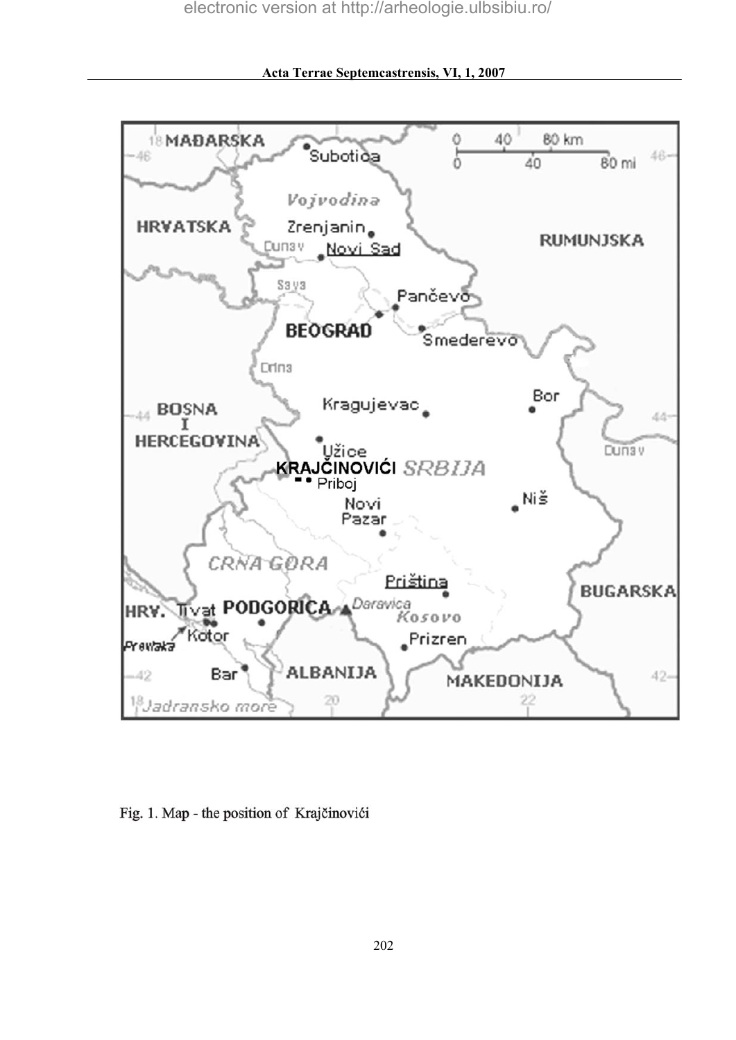

**Acta Terrae Septemcastrensis, VI, 1, 2007**

Fig. 1. Map - the position of Krajčinovići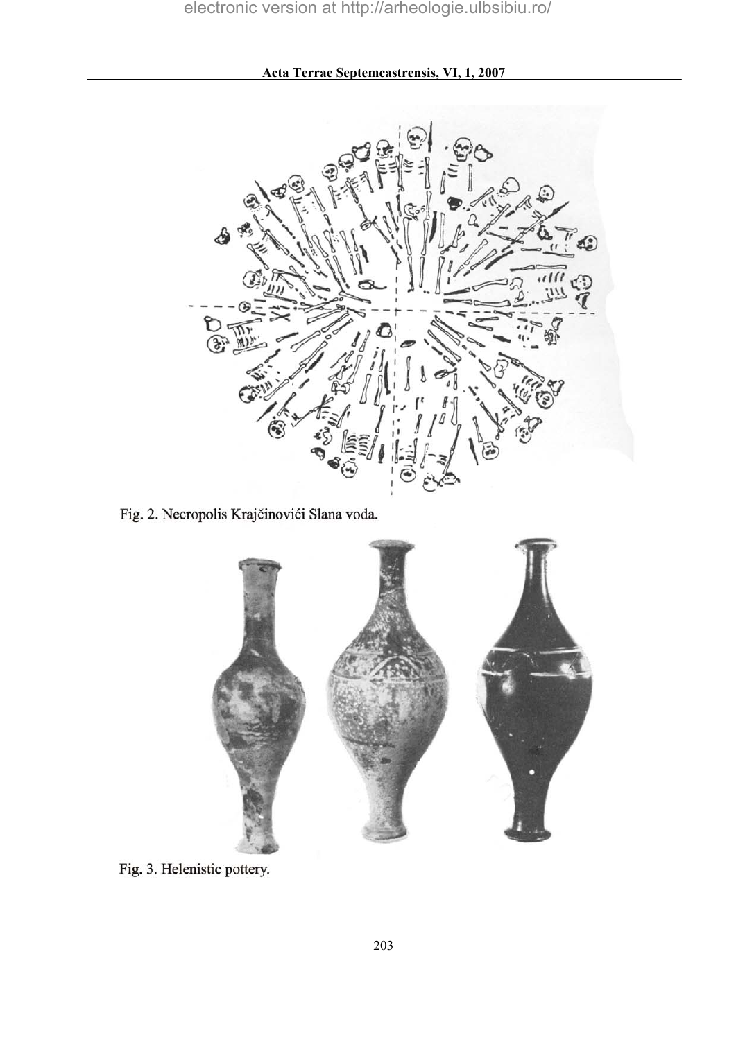**Acta Terrae Septemcastrensis, VI, 1, 2007**



Fig. 2. Necropolis Krajčinovići Slana voda.



Fig. 3. Helenistic pottery.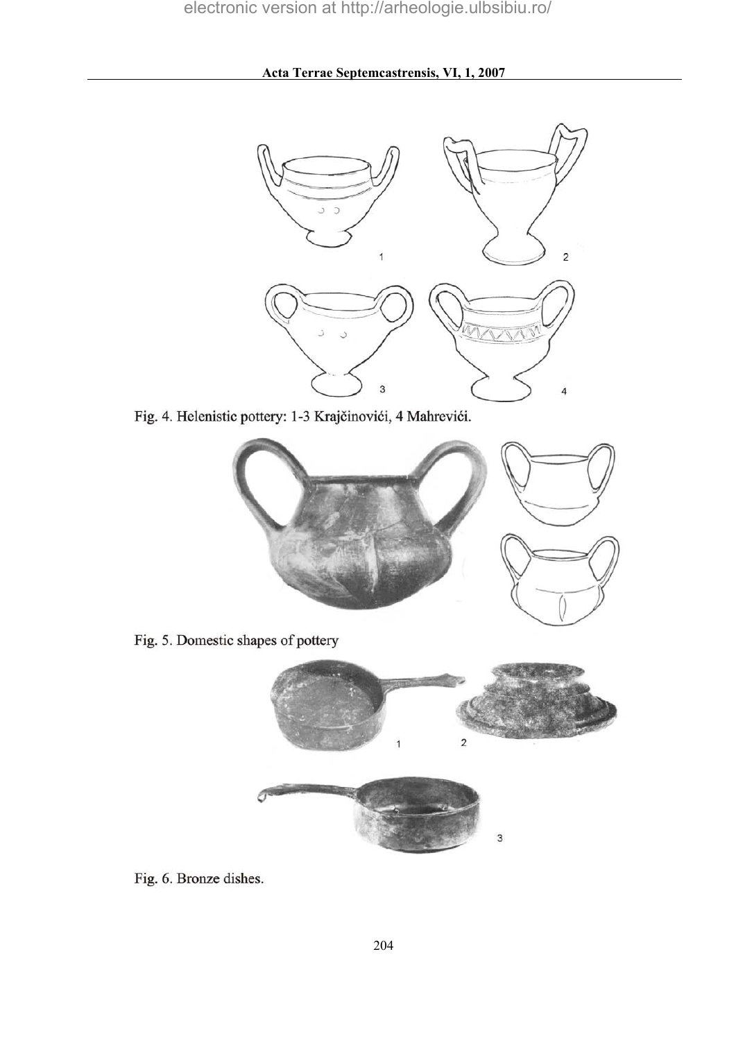

Fig. 4. Helenistic pottery: 1-3 Krajčinovići, 4 Mahrevići.



Fig. 5. Domestic shapes of pottery



Fig. 6. Bronze dishes.